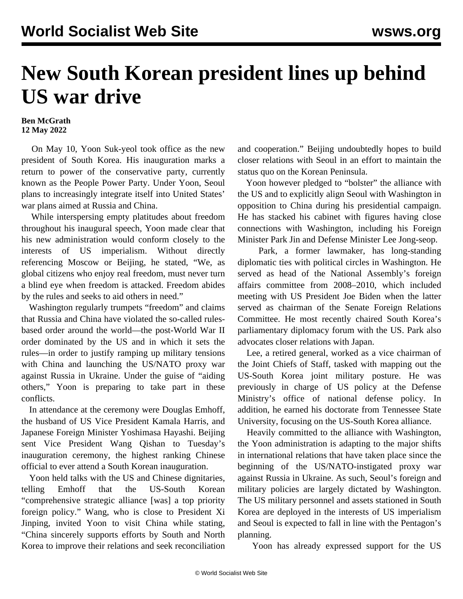## **New South Korean president lines up behind US war drive**

## **Ben McGrath 12 May 2022**

 On May 10, Yoon Suk-yeol took office as the new president of South Korea. His inauguration marks a return to power of the conservative party, currently known as the People Power Party. Under Yoon, Seoul plans to increasingly integrate itself into United States' war plans aimed at Russia and China.

 While interspersing empty platitudes about freedom throughout his inaugural speech, Yoon made clear that his new administration would conform closely to the interests of US imperialism. Without directly referencing Moscow or Beijing, he stated, "We, as global citizens who enjoy real freedom, must never turn a blind eye when freedom is attacked. Freedom abides by the rules and seeks to aid others in need."

 Washington regularly trumpets "freedom" and claims that Russia and China have violated the so-called rulesbased order around the world—the post-World War II order dominated by the US and in which it sets the rules—in order to justify ramping up military tensions with China and launching the US/NATO proxy war against Russia in Ukraine. Under the guise of "aiding others," Yoon is preparing to take part in these conflicts.

 In attendance at the ceremony were Douglas Emhoff, the husband of US Vice President Kamala Harris, and Japanese Foreign Minister Yoshimasa Hayashi. Beijing sent Vice President Wang Qishan to Tuesday's inauguration ceremony, the highest ranking Chinese official to ever attend a South Korean inauguration.

 Yoon held talks with the US and Chinese dignitaries, telling Emhoff that the US-South Korean "comprehensive strategic alliance [was] a top priority foreign policy." Wang, who is close to President Xi Jinping, invited Yoon to visit China while stating, "China sincerely supports efforts by South and North Korea to improve their relations and seek reconciliation

and cooperation." Beijing undoubtedly hopes to build closer relations with Seoul in an effort to maintain the status quo on the Korean Peninsula.

Yoon however pledged to "bolster" the alliance with the US and to explicitly align Seoul with Washington in opposition to China during his presidential campaign. He has stacked his cabinet with figures having close connections with Washington, including his Foreign Minister Park Jin and Defense Minister Lee Jong-seop.

 Park, a former lawmaker, has long-standing diplomatic ties with political circles in Washington. He served as head of the National Assembly's foreign affairs committee from 2008–2010, which included meeting with US President Joe Biden when the latter served as chairman of the Senate Foreign Relations Committee. He most recently chaired South Korea's parliamentary diplomacy forum with the US. Park also advocates closer relations with Japan.

 Lee, a retired general, worked as a vice chairman of the Joint Chiefs of Staff, tasked with mapping out the US-South Korea joint military posture. He was previously in charge of US policy at the Defense Ministry's office of national defense policy. In addition, he earned his doctorate from Tennessee State University, focusing on the US-South Korea alliance.

 Heavily committed to the alliance with Washington, the Yoon administration is adapting to the major shifts in international relations that have taken place since the beginning of the US/NATO-instigated proxy war against Russia in Ukraine. As such, Seoul's foreign and military policies are largely dictated by Washington. The US military personnel and assets stationed in South Korea are deployed in the interests of US imperialism and Seoul is expected to fall in line with the Pentagon's planning.

Yoon has already expressed support for the US